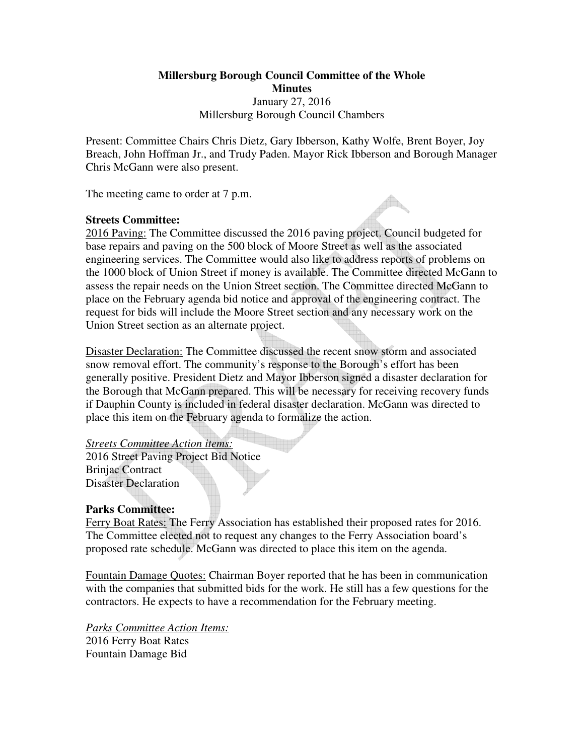# **Millersburg Borough Council Committee of the Whole Minutes**  January 27, 2016 Millersburg Borough Council Chambers

Present: Committee Chairs Chris Dietz, Gary Ibberson, Kathy Wolfe, Brent Boyer, Joy Breach, John Hoffman Jr., and Trudy Paden. Mayor Rick Ibberson and Borough Manager Chris McGann were also present.

The meeting came to order at 7 p.m.

## **Streets Committee:**

2016 Paving: The Committee discussed the 2016 paving project. Council budgeted for base repairs and paving on the 500 block of Moore Street as well as the associated engineering services. The Committee would also like to address reports of problems on the 1000 block of Union Street if money is available. The Committee directed McGann to assess the repair needs on the Union Street section. The Committee directed McGann to place on the February agenda bid notice and approval of the engineering contract. The request for bids will include the Moore Street section and any necessary work on the Union Street section as an alternate project.

Disaster Declaration: The Committee discussed the recent snow storm and associated snow removal effort. The community's response to the Borough's effort has been generally positive. President Dietz and Mayor Ibberson signed a disaster declaration for the Borough that McGann prepared. This will be necessary for receiving recovery funds if Dauphin County is included in federal disaster declaration. McGann was directed to place this item on the February agenda to formalize the action.

#### *Streets Committee Action items:*

2016 Street Paving Project Bid Notice Brinjac Contract Disaster Declaration

## **Parks Committee:**

Ferry Boat Rates: The Ferry Association has established their proposed rates for 2016. The Committee elected not to request any changes to the Ferry Association board's proposed rate schedule. McGann was directed to place this item on the agenda.

Fountain Damage Quotes: Chairman Boyer reported that he has been in communication with the companies that submitted bids for the work. He still has a few questions for the contractors. He expects to have a recommendation for the February meeting.

*Parks Committee Action Items:* 2016 Ferry Boat Rates Fountain Damage Bid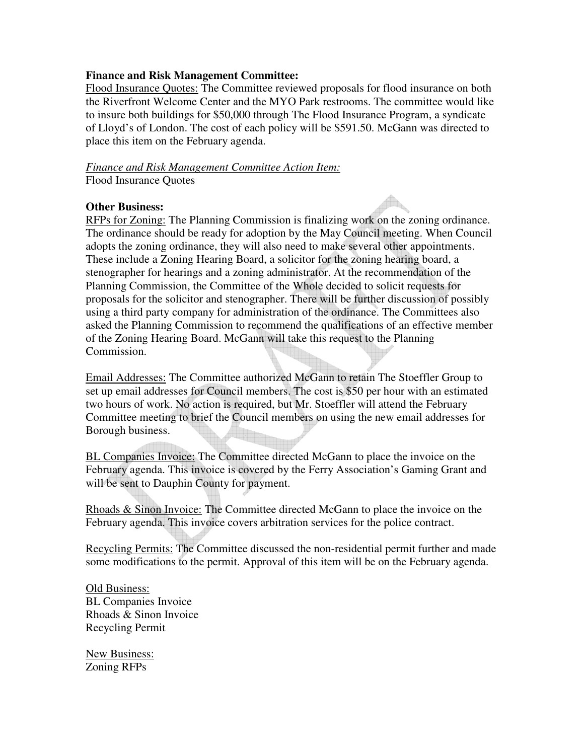### **Finance and Risk Management Committee:**

Flood Insurance Quotes: The Committee reviewed proposals for flood insurance on both the Riverfront Welcome Center and the MYO Park restrooms. The committee would like to insure both buildings for \$50,000 through The Flood Insurance Program, a syndicate of Lloyd's of London. The cost of each policy will be \$591.50. McGann was directed to place this item on the February agenda.

*Finance and Risk Management Committee Action Item:* Flood Insurance Quotes

### **Other Business:**

RFPs for Zoning: The Planning Commission is finalizing work on the zoning ordinance. The ordinance should be ready for adoption by the May Council meeting. When Council adopts the zoning ordinance, they will also need to make several other appointments. These include a Zoning Hearing Board, a solicitor for the zoning hearing board, a stenographer for hearings and a zoning administrator. At the recommendation of the Planning Commission, the Committee of the Whole decided to solicit requests for proposals for the solicitor and stenographer. There will be further discussion of possibly using a third party company for administration of the ordinance. The Committees also asked the Planning Commission to recommend the qualifications of an effective member of the Zoning Hearing Board. McGann will take this request to the Planning Commission.

Email Addresses: The Committee authorized McGann to retain The Stoeffler Group to set up email addresses for Council members. The cost is \$50 per hour with an estimated two hours of work. No action is required, but Mr. Stoeffler will attend the February Committee meeting to brief the Council members on using the new email addresses for Borough business.

BL Companies Invoice: The Committee directed McGann to place the invoice on the February agenda. This invoice is covered by the Ferry Association's Gaming Grant and will be sent to Dauphin County for payment.

Rhoads & Sinon Invoice: The Committee directed McGann to place the invoice on the February agenda. This invoice covers arbitration services for the police contract.

Recycling Permits: The Committee discussed the non-residential permit further and made some modifications to the permit. Approval of this item will be on the February agenda.

Old Business: BL Companies Invoice Rhoads & Sinon Invoice Recycling Permit

New Business: Zoning RFPs